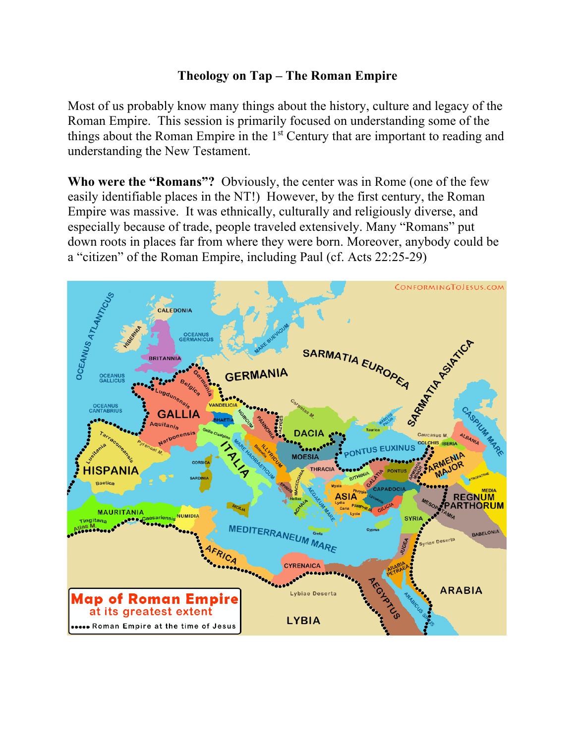## **Theology on Tap – The Roman Empire**

Most of us probably know many things about the history, culture and legacy of the Roman Empire. This session is primarily focused on understanding some of the things about the Roman Empire in the 1<sup>st</sup> Century that are important to reading and understanding the New Testament.

**Who were the "Romans"?** Obviously, the center was in Rome (one of the few easily identifiable places in the NT!) However, by the first century, the Roman Empire was massive. It was ethnically, culturally and religiously diverse, and especially because of trade, people traveled extensively. Many "Romans" put down roots in places far from where they were born. Moreover, anybody could be a "citizen" of the Roman Empire, including Paul (cf. Acts 22:25-29)

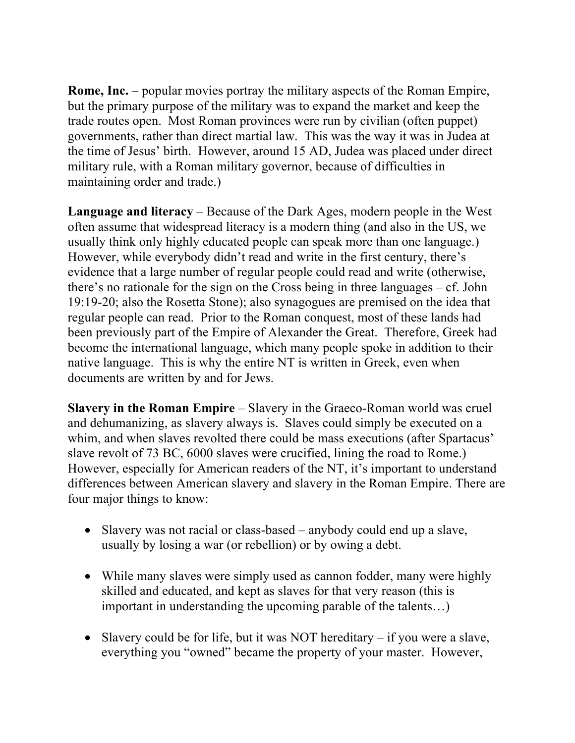**Rome, Inc.** – popular movies portray the military aspects of the Roman Empire, but the primary purpose of the military was to expand the market and keep the trade routes open. Most Roman provinces were run by civilian (often puppet) governments, rather than direct martial law. This was the way it was in Judea at the time of Jesus' birth. However, around 15 AD, Judea was placed under direct military rule, with a Roman military governor, because of difficulties in maintaining order and trade.)

**Language and literacy** – Because of the Dark Ages, modern people in the West often assume that widespread literacy is a modern thing (and also in the US, we usually think only highly educated people can speak more than one language.) However, while everybody didn't read and write in the first century, there's evidence that a large number of regular people could read and write (otherwise, there's no rationale for the sign on the Cross being in three languages – cf. John 19:19-20; also the Rosetta Stone); also synagogues are premised on the idea that regular people can read. Prior to the Roman conquest, most of these lands had been previously part of the Empire of Alexander the Great. Therefore, Greek had become the international language, which many people spoke in addition to their native language. This is why the entire NT is written in Greek, even when documents are written by and for Jews.

**Slavery in the Roman Empire** – Slavery in the Graeco-Roman world was cruel and dehumanizing, as slavery always is. Slaves could simply be executed on a whim, and when slaves revolted there could be mass executions (after Spartacus' slave revolt of 73 BC, 6000 slaves were crucified, lining the road to Rome.) However, especially for American readers of the NT, it's important to understand differences between American slavery and slavery in the Roman Empire. There are four major things to know:

- Slavery was not racial or class-based anybody could end up a slave, usually by losing a war (or rebellion) or by owing a debt.
- While many slaves were simply used as cannon fodder, many were highly skilled and educated, and kept as slaves for that very reason (this is important in understanding the upcoming parable of the talents…)
- Slavery could be for life, but it was NOT hereditary if you were a slave, everything you "owned" became the property of your master. However,